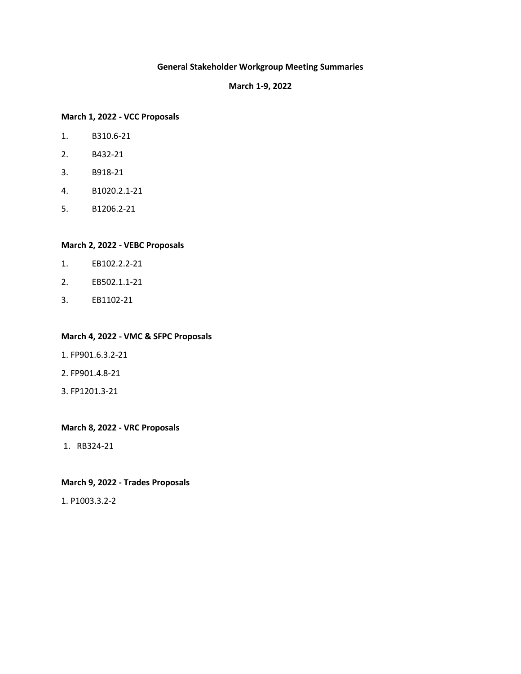# **General Stakeholder Workgroup Meeting Summaries**

#### **March 1-9, 2022**

#### **[March 1, 2022](#page-1-0) - VCC Proposals**

- 1. B310.6-21
- 2. B432-21
- 3. B918-21
- 4. B1020.2.1-21
- 5. B1206.2-21

#### **March 2, 2022 - [VEBC Proposals](#page-6-0)**

- 1. EB102.2.2-21
- 2. EB502.1.1-21
- 3. EB1102-21

#### **March 4, 2022 - [VMC & SFPC Proposals](#page-11-0)**

- 1. FP901.6.3.2-21
- 2. FP901.4.8-21
- 3. FP1201.3-21

#### **March 8, 2022 - [VRC Proposals](#page-13-0)**

1. RB324-21

# **March 9, 2022 - [Trades Proposals](#page-17-0)**

1. P1003.3.2-2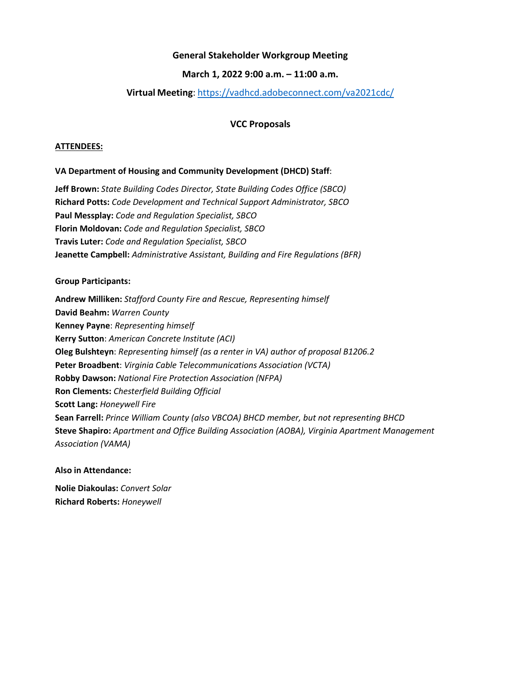## **March 1, 2022 9:00 a.m. – 11:00 a.m.**

# **Virtual Meeting**:<https://vadhcd.adobeconnect.com/va2021cdc/>

# **VCC Proposals**

#### <span id="page-1-0"></span>**ATTENDEES:**

### **VA Department of Housing and Community Development (DHCD) Staff**:

**Jeff Brown:** *State Building Codes Director, State Building Codes Office (SBCO)* **Richard Potts:** *Code Development and Technical Support Administrator, SBCO* **Paul Messplay:** *Code and Regulation Specialist, SBCO* **Florin Moldovan:** *Code and Regulation Specialist, SBCO* **Travis Luter:** *Code and Regulation Specialist, SBCO* **Jeanette Campbell:** *Administrative Assistant, Building and Fire Regulations (BFR)*

#### **Group Participants:**

**Andrew Milliken:** *Stafford County Fire and Rescue, Representing himself* **David Beahm:** *Warren County* **Kenney Payne**: *Representing himself* **Kerry Sutton**: *American Concrete Institute (ACI)* **Oleg Bulshteyn**: *Representing himself (as a renter in VA) author of proposal B1206.2* **Peter Broadbent**: *Virginia Cable Telecommunications Association (VCTA)*  **Robby Dawson:** *National Fire Protection Association (NFPA)*  **Ron Clements:** *Chesterfield Building Official* **Scott Lang:** *Honeywell Fire* **Sean Farrell:** *Prince William County (also VBCOA) BHCD member, but not representing BHCD* **Steve Shapiro:** *Apartment and Office Building Association (AOBA), Virginia Apartment Management Association (VAMA)*

### **Also in Attendance:**

**Nolie Diakoulas:** *Convert Solar* **Richard Roberts:** *Honeywell*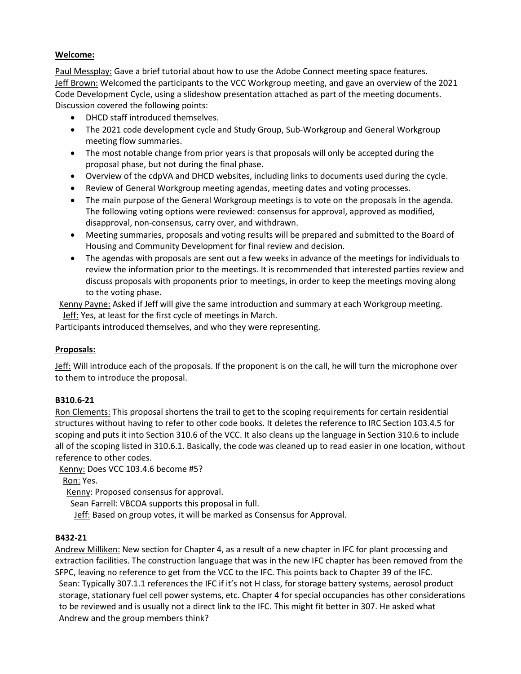Paul Messplay: Gave a brief tutorial about how to use the Adobe Connect meeting space features. Jeff Brown: Welcomed the participants to the VCC Workgroup meeting, and gave an overview of the 2021 Code Development Cycle, using a slideshow presentation attached as part of the meeting documents. Discussion covered the following points:

- DHCD staff introduced themselves.
- The 2021 code development cycle and Study Group, Sub-Workgroup and General Workgroup meeting flow summaries.
- The most notable change from prior years is that proposals will only be accepted during the proposal phase, but not during the final phase.
- Overview of the cdpVA and DHCD websites, including links to documents used during the cycle.
- Review of General Workgroup meeting agendas, meeting dates and voting processes.
- The main purpose of the General Workgroup meetings is to vote on the proposals in the agenda. The following voting options were reviewed: consensus for approval, approved as modified, disapproval, non-consensus, carry over, and withdrawn.
- Meeting summaries, proposals and voting results will be prepared and submitted to the Board of Housing and Community Development for final review and decision.
- The agendas with proposals are sent out a few weeks in advance of the meetings for individuals to review the information prior to the meetings. It is recommended that interested parties review and discuss proposals with proponents prior to meetings, in order to keep the meetings moving along to the voting phase.

Kenny Payne: Asked if Jeff will give the same introduction and summary at each Workgroup meeting. Jeff: Yes, at least for the first cycle of meetings in March.

Participants introduced themselves, and who they were representing.

# **Proposals:**

Jeff: Will introduce each of the proposals. If the proponent is on the call, he will turn the microphone over to them to introduce the proposal.

# **B310.6-21**

Ron Clements: This proposal shortens the trail to get to the scoping requirements for certain residential structures without having to refer to other code books. It deletes the reference to IRC Section 103.4.5 for scoping and puts it into Section 310.6 of the VCC. It also cleans up the language in Section 310.6 to include all of the scoping listed in 310.6.1. Basically, the code was cleaned up to read easier in one location, without reference to other codes.

Kenny: Does VCC 103.4.6 become #5?

Ron: Yes.

Kenny: Proposed consensus for approval.

Sean Farrell: VBCOA supports this proposal in full.

Jeff: Based on group votes, it will be marked as Consensus for Approval.

### **B432-21**

Andrew Milliken: New section for Chapter 4, as a result of a new chapter in IFC for plant processing and extraction facilities. The construction language that was in the new IFC chapter has been removed from the SFPC, leaving no reference to get from the VCC to the IFC. This points back to Chapter 39 of the IFC. Sean: Typically 307.1.1 references the IFC if it's not H class, for storage battery systems, aerosol product storage, stationary fuel cell power systems, etc. Chapter 4 for special occupancies has other considerations to be reviewed and is usually not a direct link to the IFC. This might fit better in 307. He asked what Andrew and the group members think?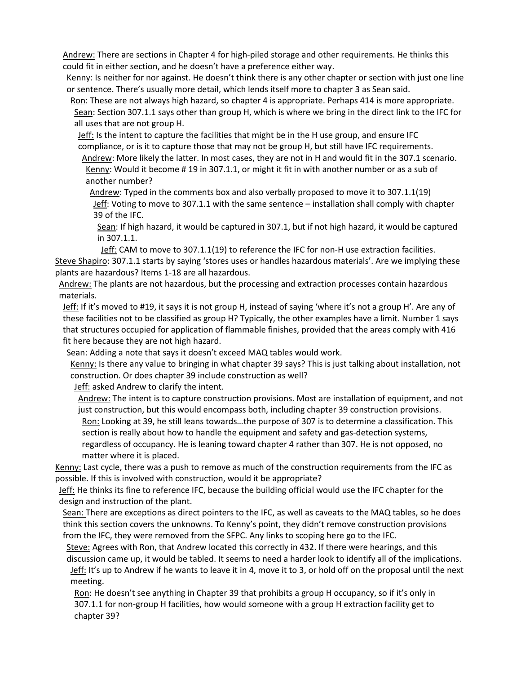Andrew: There are sections in Chapter 4 for high-piled storage and other requirements. He thinks this could fit in either section, and he doesn't have a preference either way.

Kenny: Is neither for nor against. He doesn't think there is any other chapter or section with just one line or sentence. There's usually more detail, which lends itself more to chapter 3 as Sean said.

Ron: These are not always high hazard, so chapter 4 is appropriate. Perhaps 414 is more appropriate. Sean: Section 307.1.1 says other than group H, which is where we bring in the direct link to the IFC for all uses that are not group H.

Jeff: Is the intent to capture the facilities that might be in the H use group, and ensure IFC compliance, or is it to capture those that may not be group H, but still have IFC requirements.

Andrew: More likely the latter. In most cases, they are not in H and would fit in the 307.1 scenario. Kenny: Would it become # 19 in 307.1.1, or might it fit in with another number or as a sub of another number?

Andrew: Typed in the comments box and also verbally proposed to move it to 307.1.1(19) Jeff: Voting to move to 307.1.1 with the same sentence – installation shall comply with chapter 39 of the IFC.

Sean: If high hazard, it would be captured in 307.1, but if not high hazard, it would be captured in 307.1.1.

Jeff: CAM to move to 307.1.1(19) to reference the IFC for non-H use extraction facilities. Steve Shapiro: 307.1.1 starts by saying 'stores uses or handles hazardous materials'. Are we implying these plants are hazardous? Items 1-18 are all hazardous.

Andrew: The plants are not hazardous, but the processing and extraction processes contain hazardous materials.

Jeff: If it's moved to #19, it says it is not group H, instead of saying 'where it's not a group H'. Are any of these facilities not to be classified as group H? Typically, the other examples have a limit. Number 1 says that structures occupied for application of flammable finishes, provided that the areas comply with 416 fit here because they are not high hazard.

Sean: Adding a note that says it doesn't exceed MAQ tables would work.

Kenny: Is there any value to bringing in what chapter 39 says? This is just talking about installation, not construction. Or does chapter 39 include construction as well?

Jeff: asked Andrew to clarify the intent.

Andrew: The intent is to capture construction provisions. Most are installation of equipment, and not just construction, but this would encompass both, including chapter 39 construction provisions.

Ron: Looking at 39, he still leans towards...the purpose of 307 is to determine a classification. This section is really about how to handle the equipment and safety and gas-detection systems,

regardless of occupancy. He is leaning toward chapter 4 rather than 307. He is not opposed, no matter where it is placed.

Kenny: Last cycle, there was a push to remove as much of the construction requirements from the IFC as possible. If this is involved with construction, would it be appropriate?

Jeff: He thinks its fine to reference IFC, because the building official would use the IFC chapter for the design and instruction of the plant.

Sean: There are exceptions as direct pointers to the IFC, as well as caveats to the MAQ tables, so he does think this section covers the unknowns. To Kenny's point, they didn't remove construction provisions from the IFC, they were removed from the SFPC. Any links to scoping here go to the IFC.

Steve: Agrees with Ron, that Andrew located this correctly in 432. If there were hearings, and this discussion came up, it would be tabled. It seems to need a harder look to identify all of the implications. Jeff: It's up to Andrew if he wants to leave it in 4, move it to 3, or hold off on the proposal until the next meeting.

Ron: He doesn't see anything in Chapter 39 that prohibits a group H occupancy, so if it's only in 307.1.1 for non-group H facilities, how would someone with a group H extraction facility get to chapter 39?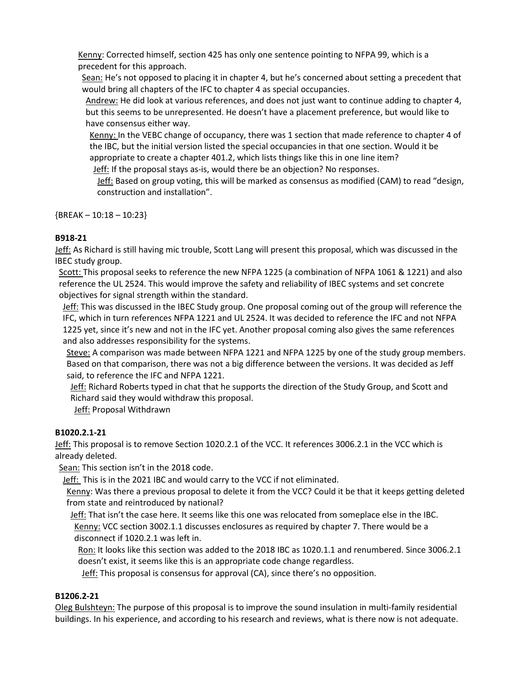Kenny: Corrected himself, section 425 has only one sentence pointing to NFPA 99, which is a precedent for this approach.

Sean: He's not opposed to placing it in chapter 4, but he's concerned about setting a precedent that would bring all chapters of the IFC to chapter 4 as special occupancies.

Andrew: He did look at various references, and does not just want to continue adding to chapter 4, but this seems to be unrepresented. He doesn't have a placement preference, but would like to have consensus either way.

Kenny: In the VEBC change of occupancy, there was 1 section that made reference to chapter 4 of the IBC, but the initial version listed the special occupancies in that one section. Would it be appropriate to create a chapter 401.2, which lists things like this in one line item?

Jeff: If the proposal stays as-is, would there be an objection? No responses.

Jeff: Based on group voting, this will be marked as consensus as modified (CAM) to read "design, construction and installation".

 ${BREAK - 10:18 - 10:23}$ 

# **B918-21**

Jeff: As Richard is still having mic trouble, Scott Lang will present this proposal, which was discussed in the IBEC study group.

Scott: This proposal seeks to reference the new NFPA 1225 (a combination of NFPA 1061 & 1221) and also reference the UL 2524. This would improve the safety and reliability of IBEC systems and set concrete objectives for signal strength within the standard.

Jeff: This was discussed in the IBEC Study group. One proposal coming out of the group will reference the IFC, which in turn references NFPA 1221 and UL 2524. It was decided to reference the IFC and not NFPA 1225 yet, since it's new and not in the IFC yet. Another proposal coming also gives the same references and also addresses responsibility for the systems.

Steve: A comparison was made between NFPA 1221 and NFPA 1225 by one of the study group members. Based on that comparison, there was not a big difference between the versions. It was decided as Jeff said, to reference the IFC and NFPA 1221.

Jeff: Richard Roberts typed in chat that he supports the direction of the Study Group, and Scott and Richard said they would withdraw this proposal.

Jeff: Proposal Withdrawn

# **B1020.2.1-21**

Jeff: This proposal is to remove Section 1020.2.1 of the VCC. It references 3006.2.1 in the VCC which is already deleted.

Sean: This section isn't in the 2018 code.

Jeff: This is in the 2021 IBC and would carry to the VCC if not eliminated.

Kenny: Was there a previous proposal to delete it from the VCC? Could it be that it keeps getting deleted from state and reintroduced by national?

Jeff: That isn't the case here. It seems like this one was relocated from someplace else in the IBC. Kenny: VCC section 3002.1.1 discusses enclosures as required by chapter 7. There would be a disconnect if 1020.2.1 was left in.

Ron: It looks like this section was added to the 2018 IBC as 1020.1.1 and renumbered. Since 3006.2.1 doesn't exist, it seems like this is an appropriate code change regardless.

Jeff: This proposal is consensus for approval (CA), since there's no opposition.

# **B1206.2-21**

Oleg Bulshteyn: The purpose of this proposal is to improve the sound insulation in multi-family residential buildings. In his experience, and according to his research and reviews, what is there now is not adequate.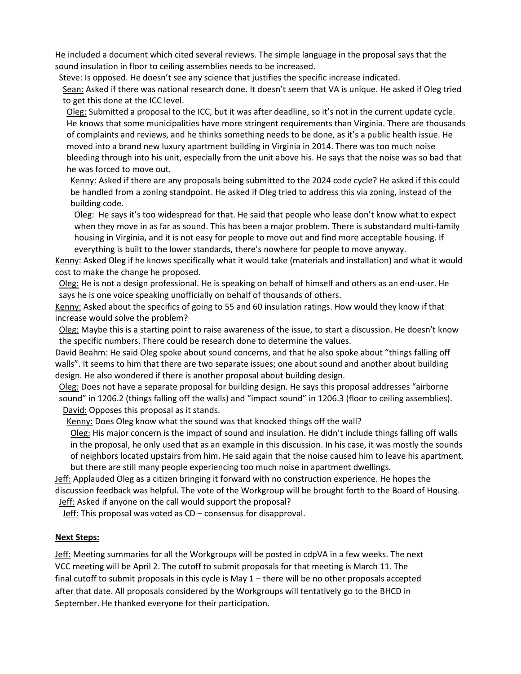He included a document which cited several reviews. The simple language in the proposal says that the sound insulation in floor to ceiling assemblies needs to be increased.

Steve: Is opposed. He doesn't see any science that justifies the specific increase indicated.

Sean: Asked if there was national research done. It doesn't seem that VA is unique. He asked if Oleg tried to get this done at the ICC level.

Oleg: Submitted a proposal to the ICC, but it was after deadline, so it's not in the current update cycle. He knows that some municipalities have more stringent requirements than Virginia. There are thousands of complaints and reviews, and he thinks something needs to be done, as it's a public health issue. He moved into a brand new luxury apartment building in Virginia in 2014. There was too much noise bleeding through into his unit, especially from the unit above his. He says that the noise was so bad that he was forced to move out.

Kenny: Asked if there are any proposals being submitted to the 2024 code cycle? He asked if this could be handled from a zoning standpoint. He asked if Oleg tried to address this via zoning, instead of the building code.

Oleg: He says it's too widespread for that. He said that people who lease don't know what to expect when they move in as far as sound. This has been a major problem. There is substandard multi-family housing in Virginia, and it is not easy for people to move out and find more acceptable housing. If everything is built to the lower standards, there's nowhere for people to move anyway.

Kenny: Asked Oleg if he knows specifically what it would take (materials and installation) and what it would cost to make the change he proposed.

Oleg: He is not a design professional. He is speaking on behalf of himself and others as an end-user. He says he is one voice speaking unofficially on behalf of thousands of others.

Kenny: Asked about the specifics of going to 55 and 60 insulation ratings. How would they know if that increase would solve the problem?

Oleg: Maybe this is a starting point to raise awareness of the issue, to start a discussion. He doesn't know the specific numbers. There could be research done to determine the values.

David Beahm: He said Oleg spoke about sound concerns, and that he also spoke about "things falling off walls". It seems to him that there are two separate issues; one about sound and another about building design. He also wondered if there is another proposal about building design.

Oleg: Does not have a separate proposal for building design. He says this proposal addresses "airborne sound" in 1206.2 (things falling off the walls) and "impact sound" in 1206.3 (floor to ceiling assemblies). David: Opposes this proposal as it stands.

Kenny: Does Oleg know what the sound was that knocked things off the wall?

Oleg: His major concern is the impact of sound and insulation. He didn't include things falling off walls in the proposal, he only used that as an example in this discussion. In his case, it was mostly the sounds of neighbors located upstairs from him. He said again that the noise caused him to leave his apartment, but there are still many people experiencing too much noise in apartment dwellings.

Jeff: Applauded Oleg as a citizen bringing it forward with no construction experience. He hopes the discussion feedback was helpful. The vote of the Workgroup will be brought forth to the Board of Housing. Jeff: Asked if anyone on the call would support the proposal?

Jeff: This proposal was voted as CD – consensus for disapproval.

### **Next Steps:**

Jeff: Meeting summaries for all the Workgroups will be posted in cdpVA in a few weeks. The next VCC meeting will be April 2. The cutoff to submit proposals for that meeting is March 11. The final cutoff to submit proposals in this cycle is May 1 – there will be no other proposals accepted after that date. All proposals considered by the Workgroups will tentatively go to the BHCD in September. He thanked everyone for their participation.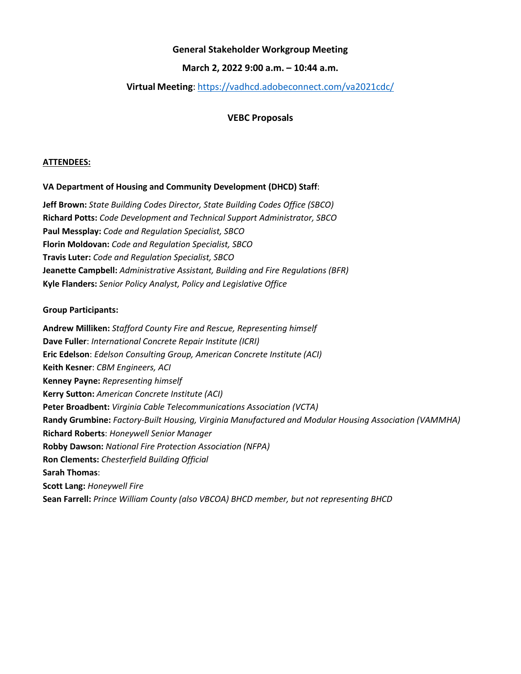### **March 2, 2022 9:00 a.m. – 10:44 a.m.**

## <span id="page-6-0"></span>**Virtual Meeting**:<https://vadhcd.adobeconnect.com/va2021cdc/>

### **VEBC Proposals**

#### **ATTENDEES:**

### **VA Department of Housing and Community Development (DHCD) Staff**:

**Jeff Brown:** *State Building Codes Director, State Building Codes Office (SBCO)* **Richard Potts:** *Code Development and Technical Support Administrator, SBCO* **Paul Messplay:** *Code and Regulation Specialist, SBCO* **Florin Moldovan:** *Code and Regulation Specialist, SBCO* **Travis Luter:** *Code and Regulation Specialist, SBCO* **Jeanette Campbell:** *Administrative Assistant, Building and Fire Regulations (BFR)* **Kyle Flanders:** *Senior Policy Analyst, Policy and Legislative Office*

#### **Group Participants:**

**Andrew Milliken:** *Stafford County Fire and Rescue, Representing himself* **Dave Fuller**: *International Concrete Repair Institute (ICRI)* **Eric Edelson**: *Edelson Consulting Group, American Concrete Institute (ACI)* **Keith Kesner**: *CBM Engineers, ACI* **Kenney Payne:** *Representing himself* **Kerry Sutton:** *American Concrete Institute (ACI)* **Peter Broadbent:** *Virginia Cable Telecommunications Association (VCTA)*  **Randy Grumbine:** *Factory-Built Housing, Virginia Manufactured and Modular Housing Association (VAMMHA)* **Richard Roberts**: *Honeywell Senior Manager* **Robby Dawson:** *National Fire Protection Association (NFPA)* **Ron Clements:** *Chesterfield Building Official* **Sarah Thomas**: **Scott Lang:** *Honeywell Fire* **Sean Farrell:** *Prince William County (also VBCOA) BHCD member, but not representing BHCD*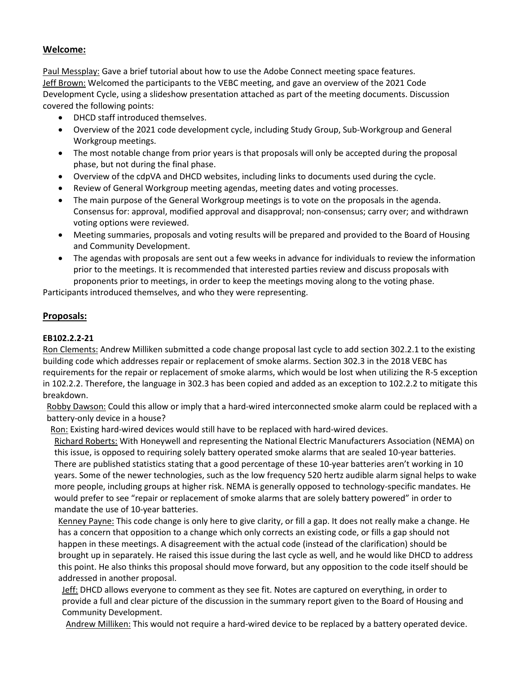Paul Messplay: Gave a brief tutorial about how to use the Adobe Connect meeting space features. Jeff Brown: Welcomed the participants to the VEBC meeting, and gave an overview of the 2021 Code Development Cycle, using a slideshow presentation attached as part of the meeting documents. Discussion covered the following points:

- DHCD staff introduced themselves.
- Overview of the 2021 code development cycle, including Study Group, Sub-Workgroup and General Workgroup meetings.
- The most notable change from prior years is that proposals will only be accepted during the proposal phase, but not during the final phase.
- Overview of the cdpVA and DHCD websites, including links to documents used during the cycle.
- Review of General Workgroup meeting agendas, meeting dates and voting processes.
- The main purpose of the General Workgroup meetings is to vote on the proposals in the agenda. Consensus for: approval, modified approval and disapproval; non-consensus; carry over; and withdrawn voting options were reviewed.
- Meeting summaries, proposals and voting results will be prepared and provided to the Board of Housing and Community Development.
- The agendas with proposals are sent out a few weeks in advance for individuals to review the information prior to the meetings. It is recommended that interested parties review and discuss proposals with proponents prior to meetings, in order to keep the meetings moving along to the voting phase.

Participants introduced themselves, and who they were representing.

## **Proposals:**

### **EB102.2.2-21**

Ron Clements: Andrew Milliken submitted a code change proposal last cycle to add section 302.2.1 to the existing building code which addresses repair or replacement of smoke alarms. Section 302.3 in the 2018 VEBC has requirements for the repair or replacement of smoke alarms, which would be lost when utilizing the R-5 exception in 102.2.2. Therefore, the language in 302.3 has been copied and added as an exception to 102.2.2 to mitigate this breakdown.

Robby Dawson: Could this allow or imply that a hard-wired interconnected smoke alarm could be replaced with a battery-only device in a house?

Ron: Existing hard-wired devices would still have to be replaced with hard-wired devices.

Richard Roberts: With Honeywell and representing the National Electric Manufacturers Association (NEMA) on this issue, is opposed to requiring solely battery operated smoke alarms that are sealed 10-year batteries. There are published statistics stating that a good percentage of these 10-year batteries aren't working in 10 years. Some of the newer technologies, such as the low frequency 520 hertz audible alarm signal helps to wake more people, including groups at higher risk. NEMA is generally opposed to technology-specific mandates. He would prefer to see "repair or replacement of smoke alarms that are solely battery powered" in order to mandate the use of 10-year batteries.

Kenney Payne: This code change is only here to give clarity, or fill a gap. It does not really make a change. He has a concern that opposition to a change which only corrects an existing code, or fills a gap should not happen in these meetings. A disagreement with the actual code (instead of the clarification) should be brought up in separately. He raised this issue during the last cycle as well, and he would like DHCD to address this point. He also thinks this proposal should move forward, but any opposition to the code itself should be addressed in another proposal.

Jeff: DHCD allows everyone to comment as they see fit. Notes are captured on everything, in order to provide a full and clear picture of the discussion in the summary report given to the Board of Housing and Community Development.

Andrew Milliken: This would not require a hard-wired device to be replaced by a battery operated device.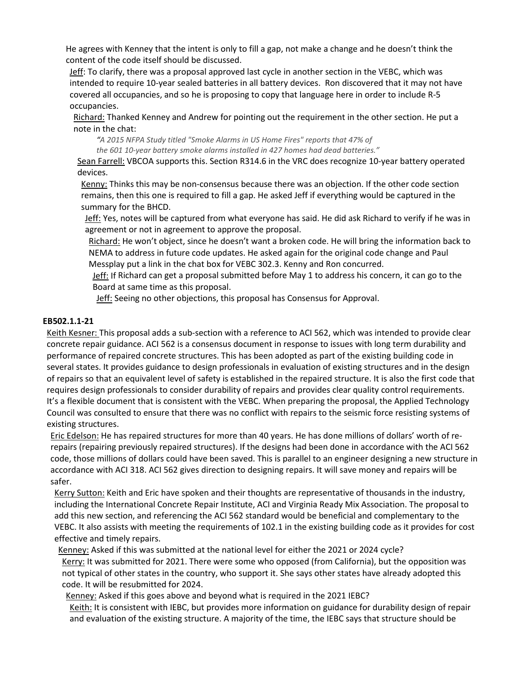He agrees with Kenney that the intent is only to fill a gap, not make a change and he doesn't think the content of the code itself should be discussed.

Jeff: To clarify, there was a proposal approved last cycle in another section in the VEBC, which was intended to require 10-year sealed batteries in all battery devices. Ron discovered that it may not have covered all occupancies, and so he is proposing to copy that language here in order to include R-5 occupancies.

Richard: Thanked Kenney and Andrew for pointing out the requirement in the other section. He put a note in the chat:

*"A 2015 NFPA Study titled "Smoke Alarms in US Home Fires" reports that 47% of the 601 10-year battery smoke alarms installed in 427 homes had dead batteries."*

Sean Farrell: VBCOA supports this. Section R314.6 in the VRC does recognize 10-year battery operated devices.

Kenny: Thinks this may be non-consensus because there was an objection. If the other code section remains, then this one is required to fill a gap. He asked Jeff if everything would be captured in the summary for the BHCD.

Jeff: Yes, notes will be captured from what everyone has said. He did ask Richard to verify if he was in agreement or not in agreement to approve the proposal.

Richard: He won't object, since he doesn't want a broken code. He will bring the information back to NEMA to address in future code updates. He asked again for the original code change and Paul Messplay put a link in the chat box for VEBC 302.3. Kenny and Ron concurred.

Jeff: If Richard can get a proposal submitted before May 1 to address his concern, it can go to the Board at same time as this proposal.

Jeff: Seeing no other objections, this proposal has Consensus for Approval.

## **EB502.1.1-21**

Keith Kesner: This proposal adds a sub-section with a reference to ACI 562, which was intended to provide clear concrete repair guidance. ACI 562 is a consensus document in response to issues with long term durability and performance of repaired concrete structures. This has been adopted as part of the existing building code in several states. It provides guidance to design professionals in evaluation of existing structures and in the design of repairs so that an equivalent level of safety is established in the repaired structure. It is also the first code that requires design professionals to consider durability of repairs and provides clear quality control requirements. It's a flexible document that is consistent with the VEBC. When preparing the proposal, the Applied Technology Council was consulted to ensure that there was no conflict with repairs to the seismic force resisting systems of existing structures.

Eric Edelson: He has repaired structures for more than 40 years. He has done millions of dollars' worth of rerepairs (repairing previously repaired structures). If the designs had been done in accordance with the ACI 562 code, those millions of dollars could have been saved. This is parallel to an engineer designing a new structure in accordance with ACI 318. ACI 562 gives direction to designing repairs. It will save money and repairs will be safer.

Kerry Sutton: Keith and Eric have spoken and their thoughts are representative of thousands in the industry, including the International Concrete Repair Institute, ACI and Virginia Ready Mix Association. The proposal to add this new section, and referencing the ACI 562 standard would be beneficial and complementary to the VEBC. It also assists with meeting the requirements of 102.1 in the existing building code as it provides for cost effective and timely repairs.

Kenney: Asked if this was submitted at the national level for either the 2021 or 2024 cycle? Kerry: It was submitted for 2021. There were some who opposed (from California), but the opposition was not typical of other states in the country, who support it. She says other states have already adopted this code. It will be resubmitted for 2024.

Kenney: Asked if this goes above and beyond what is required in the 2021 IEBC?

Keith: It is consistent with IEBC, but provides more information on guidance for durability design of repair and evaluation of the existing structure. A majority of the time, the IEBC says that structure should be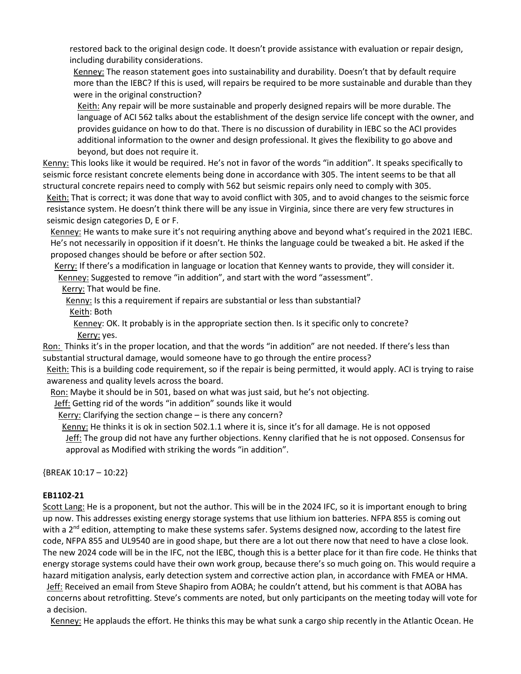restored back to the original design code. It doesn't provide assistance with evaluation or repair design, including durability considerations.

Kenney: The reason statement goes into sustainability and durability. Doesn't that by default require more than the IEBC? If this is used, will repairs be required to be more sustainable and durable than they were in the original construction?

Keith: Any repair will be more sustainable and properly designed repairs will be more durable. The language of ACI 562 talks about the establishment of the design service life concept with the owner, and provides guidance on how to do that. There is no discussion of durability in IEBC so the ACI provides additional information to the owner and design professional. It gives the flexibility to go above and beyond, but does not require it.

Kenny: This looks like it would be required. He's not in favor of the words "in addition". It speaks specifically to seismic force resistant concrete elements being done in accordance with 305. The intent seems to be that all structural concrete repairs need to comply with 562 but seismic repairs only need to comply with 305.

Keith: That is correct; it was done that way to avoid conflict with 305, and to avoid changes to the seismic force resistance system. He doesn't think there will be any issue in Virginia, since there are very few structures in seismic design categories D, E or F.

Kenney: He wants to make sure it's not requiring anything above and beyond what's required in the 2021 IEBC. He's not necessarily in opposition if it doesn't. He thinks the language could be tweaked a bit. He asked if the proposed changes should be before or after section 502.

Kerry: If there's a modification in language or location that Kenney wants to provide, they will consider it. Kenney: Suggested to remove "in addition", and start with the word "assessment".

Kerry: That would be fine.

Kenny: Is this a requirement if repairs are substantial or less than substantial? Keith: Both

Kenney: OK. It probably is in the appropriate section then. Is it specific only to concrete? Kerry: yes.

Ron: Thinks it's in the proper location, and that the words "in addition" are not needed. If there's less than substantial structural damage, would someone have to go through the entire process?

Keith: This is a building code requirement, so if the repair is being permitted, it would apply. ACI is trying to raise awareness and quality levels across the board.

Ron: Maybe it should be in 501, based on what was just said, but he's not objecting.

Jeff: Getting rid of the words "in addition" sounds like it would

Kerry: Clarifying the section change – is there any concern?

Kenny: He thinks it is ok in section 502.1.1 where it is, since it's for all damage. He is not opposed

Jeff: The group did not have any further objections. Kenny clarified that he is not opposed. Consensus for approval as Modified with striking the words "in addition".

{BREAK 10:17 – 10:22}

### **EB1102-21**

Scott Lang: He is a proponent, but not the author. This will be in the 2024 IFC, so it is important enough to bring up now. This addresses existing energy storage systems that use lithium ion batteries. NFPA 855 is coming out with a 2<sup>nd</sup> edition, attempting to make these systems safer. Systems designed now, according to the latest fire code, NFPA 855 and UL9540 are in good shape, but there are a lot out there now that need to have a close look. The new 2024 code will be in the IFC, not the IEBC, though this is a better place for it than fire code. He thinks that energy storage systems could have their own work group, because there's so much going on. This would require a hazard mitigation analysis, early detection system and corrective action plan, in accordance with FMEA or HMA. Jeff: Received an email from Steve Shapiro from AOBA; he couldn't attend, but his comment is that AOBA has concerns about retrofitting. Steve's comments are noted, but only participants on the meeting today will vote for a decision.

Kenney: He applauds the effort. He thinks this may be what sunk a cargo ship recently in the Atlantic Ocean. He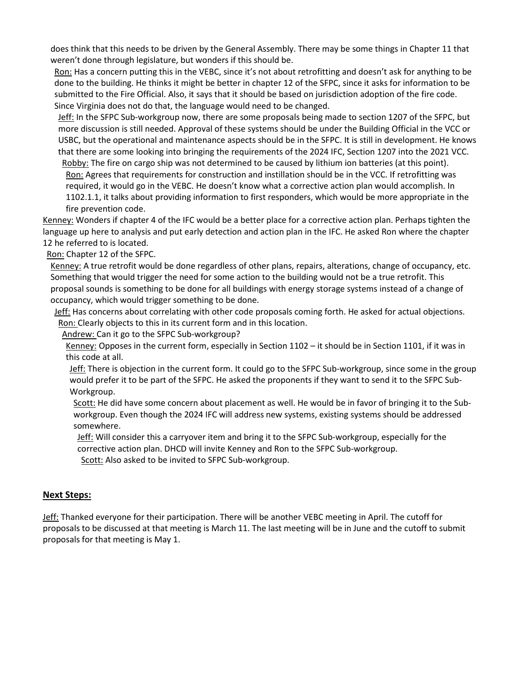does think that this needs to be driven by the General Assembly. There may be some things in Chapter 11 that weren't done through legislature, but wonders if this should be.

Ron: Has a concern putting this in the VEBC, since it's not about retrofitting and doesn't ask for anything to be done to the building. He thinks it might be better in chapter 12 of the SFPC, since it asks for information to be submitted to the Fire Official. Also, it says that it should be based on jurisdiction adoption of the fire code. Since Virginia does not do that, the language would need to be changed.

Jeff: In the SFPC Sub-workgroup now, there are some proposals being made to section 1207 of the SFPC, but more discussion is still needed. Approval of these systems should be under the Building Official in the VCC or USBC, but the operational and maintenance aspects should be in the SFPC. It is still in development. He knows that there are some looking into bringing the requirements of the 2024 IFC, Section 1207 into the 2021 VCC.

Robby: The fire on cargo ship was not determined to be caused by lithium ion batteries (at this point). Ron: Agrees that requirements for construction and instillation should be in the VCC. If retrofitting was required, it would go in the VEBC. He doesn't know what a corrective action plan would accomplish. In 1102.1.1, it talks about providing information to first responders, which would be more appropriate in the fire prevention code.

Kenney: Wonders if chapter 4 of the IFC would be a better place for a corrective action plan. Perhaps tighten the language up here to analysis and put early detection and action plan in the IFC. He asked Ron where the chapter 12 he referred to is located.

Ron: Chapter 12 of the SFPC.

Kenney: A true retrofit would be done regardless of other plans, repairs, alterations, change of occupancy, etc. Something that would trigger the need for some action to the building would not be a true retrofit. This proposal sounds is something to be done for all buildings with energy storage systems instead of a change of occupancy, which would trigger something to be done.

Jeff: Has concerns about correlating with other code proposals coming forth. He asked for actual objections. Ron: Clearly objects to this in its current form and in this location.

Andrew: Can it go to the SFPC Sub-workgroup?

Kenney: Opposes in the current form, especially in Section 1102 - it should be in Section 1101, if it was in this code at all.

Jeff: There is objection in the current form. It could go to the SFPC Sub-workgroup, since some in the group would prefer it to be part of the SFPC. He asked the proponents if they want to send it to the SFPC Sub-Workgroup.

Scott: He did have some concern about placement as well. He would be in favor of bringing it to the Subworkgroup. Even though the 2024 IFC will address new systems, existing systems should be addressed somewhere.

Jeff: Will consider this a carryover item and bring it to the SFPC Sub-workgroup, especially for the corrective action plan. DHCD will invite Kenney and Ron to the SFPC Sub-workgroup.

Scott: Also asked to be invited to SFPC Sub-workgroup.

### **Next Steps:**

Jeff: Thanked everyone for their participation. There will be another VEBC meeting in April. The cutoff for proposals to be discussed at that meeting is March 11. The last meeting will be in June and the cutoff to submit proposals for that meeting is May 1.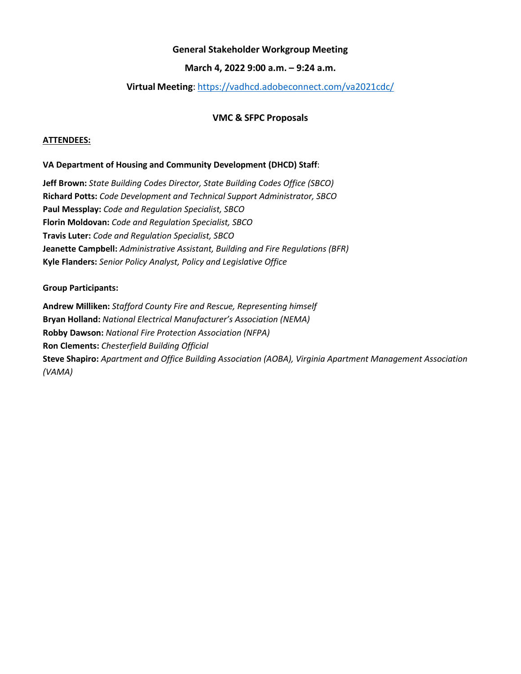### **March 4, 2022 9:00 a.m. – 9:24 a.m.**

### **Virtual Meeting**: <https://vadhcd.adobeconnect.com/va2021cdc/>

### **VMC & SFPC Proposals**

#### <span id="page-11-0"></span>**ATTENDEES:**

#### **VA Department of Housing and Community Development (DHCD) Staff**:

**Jeff Brown:** *State Building Codes Director, State Building Codes Office (SBCO)* **Richard Potts:** *Code Development and Technical Support Administrator, SBCO* **Paul Messplay:** *Code and Regulation Specialist, SBCO* **Florin Moldovan:** *Code and Regulation Specialist, SBCO* **Travis Luter:** *Code and Regulation Specialist, SBCO* **Jeanette Campbell:** *Administrative Assistant, Building and Fire Regulations (BFR)* **Kyle Flanders:** *Senior Policy Analyst, Policy and Legislative Office*

#### **Group Participants:**

**Andrew Milliken:** *Stafford County Fire and Rescue, Representing himself* **Bryan Holland:** *National Electrical Manufacturer's Association (NEMA)* **Robby Dawson:** *National Fire Protection Association (NFPA)* **Ron Clements:** *Chesterfield Building Official* **Steve Shapiro:** *Apartment and Office Building Association (AOBA), Virginia Apartment Management Association (VAMA)*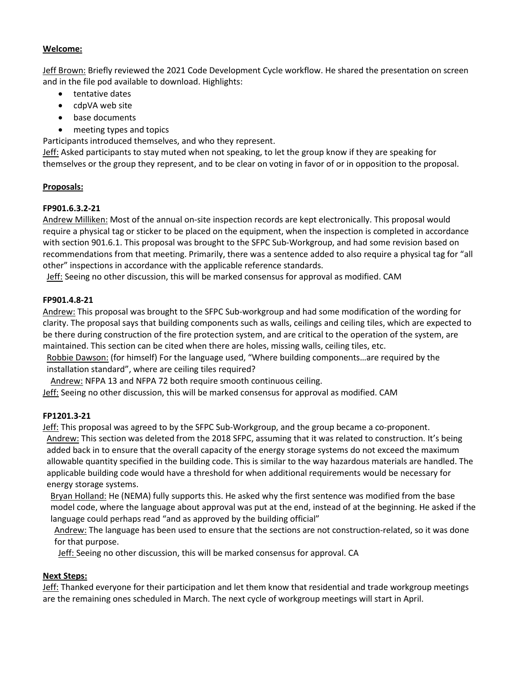Jeff Brown: Briefly reviewed the 2021 Code Development Cycle workflow. He shared the presentation on screen and in the file pod available to download. Highlights:

- tentative dates
- cdpVA web site
- base documents
- meeting types and topics

Participants introduced themselves, and who they represent.

Jeff: Asked participants to stay muted when not speaking, to let the group know if they are speaking for themselves or the group they represent, and to be clear on voting in favor of or in opposition to the proposal.

# **Proposals:**

# **FP901.6.3.2-21**

Andrew Milliken: Most of the annual on-site inspection records are kept electronically. This proposal would require a physical tag or sticker to be placed on the equipment, when the inspection is completed in accordance with section 901.6.1. This proposal was brought to the SFPC Sub-Workgroup, and had some revision based on recommendations from that meeting. Primarily, there was a sentence added to also require a physical tag for "all other" inspections in accordance with the applicable reference standards.

Jeff: Seeing no other discussion, this will be marked consensus for approval as modified. CAM

# **FP901.4.8-21**

Andrew: This proposal was brought to the SFPC Sub-workgroup and had some modification of the wording for clarity. The proposal says that building components such as walls, ceilings and ceiling tiles, which are expected to be there during construction of the fire protection system, and are critical to the operation of the system, are maintained. This section can be cited when there are holes, missing walls, ceiling tiles, etc.

Robbie Dawson: (for himself) For the language used, "Where building components…are required by the installation standard", where are ceiling tiles required?

Andrew: NFPA 13 and NFPA 72 both require smooth continuous ceiling.

Jeff: Seeing no other discussion, this will be marked consensus for approval as modified. CAM

# **FP1201.3-21**

Jeff: This proposal was agreed to by the SFPC Sub-Workgroup, and the group became a co-proponent. Andrew: This section was deleted from the 2018 SFPC, assuming that it was related to construction. It's being added back in to ensure that the overall capacity of the energy storage systems do not exceed the maximum allowable quantity specified in the building code. This is similar to the way hazardous materials are handled. The applicable building code would have a threshold for when additional requirements would be necessary for

energy storage systems.

Bryan Holland: He (NEMA) fully supports this. He asked why the first sentence was modified from the base model code, where the language about approval was put at the end, instead of at the beginning. He asked if the language could perhaps read "and as approved by the building official"

Andrew: The language has been used to ensure that the sections are not construction-related, so it was done for that purpose.

Jeff: Seeing no other discussion, this will be marked consensus for approval. CA

# **Next Steps:**

Jeff: Thanked everyone for their participation and let them know that residential and trade workgroup meetings are the remaining ones scheduled in March. The next cycle of workgroup meetings will start in April.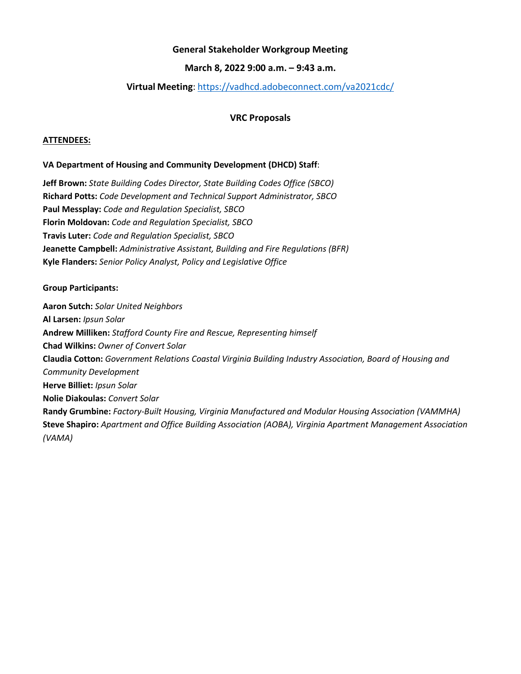### **March 8, 2022 9:00 a.m. – 9:43 a.m.**

### **Virtual Meeting**:<https://vadhcd.adobeconnect.com/va2021cdc/>

#### **VRC Proposals**

#### <span id="page-13-0"></span>**ATTENDEES:**

#### **VA Department of Housing and Community Development (DHCD) Staff**:

**Jeff Brown:** *State Building Codes Director, State Building Codes Office (SBCO)* **Richard Potts:** *Code Development and Technical Support Administrator, SBCO* **Paul Messplay:** *Code and Regulation Specialist, SBCO* **Florin Moldovan:** *Code and Regulation Specialist, SBCO* **Travis Luter:** *Code and Regulation Specialist, SBCO* **Jeanette Campbell:** *Administrative Assistant, Building and Fire Regulations (BFR)* **Kyle Flanders:** *Senior Policy Analyst, Policy and Legislative Office*

#### **Group Participants:**

**Aaron Sutch:** *Solar United Neighbors* **Al Larsen:** *Ipsun Solar* **Andrew Milliken:** *Stafford County Fire and Rescue, Representing himself* **Chad Wilkins:** *Owner of Convert Solar* **Claudia Cotton:** *Government Relations Coastal Virginia Building Industry Association, Board of Housing and Community Development* **Herve Billiet:** *Ipsun Solar* **Nolie Diakoulas:** *Convert Solar* **Randy Grumbine:** *Factory-Built Housing, Virginia Manufactured and Modular Housing Association (VAMMHA)* **Steve Shapiro:** *Apartment and Office Building Association (AOBA), Virginia Apartment Management Association (VAMA)*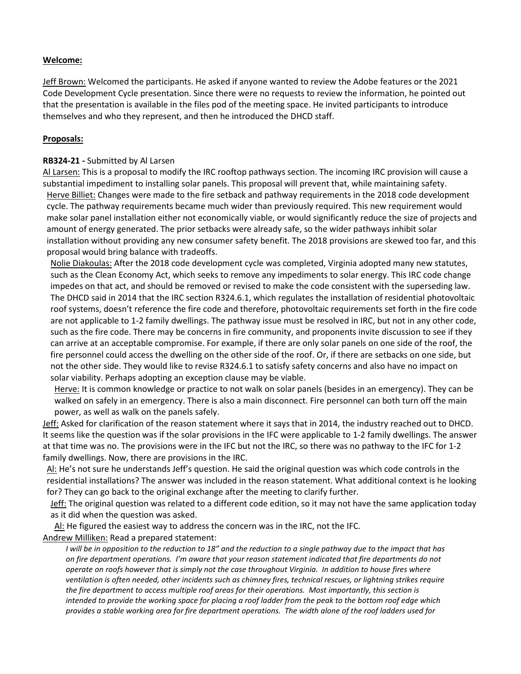Jeff Brown: Welcomed the participants. He asked if anyone wanted to review the Adobe features or the 2021 Code Development Cycle presentation. Since there were no requests to review the information, he pointed out that the presentation is available in the files pod of the meeting space. He invited participants to introduce themselves and who they represent, and then he introduced the DHCD staff.

#### **Proposals:**

#### **RB324-21 -** Submitted by Al Larsen

Al Larsen: This is a proposal to modify the IRC rooftop pathways section. The incoming IRC provision will cause a substantial impediment to installing solar panels. This proposal will prevent that, while maintaining safety. Herve Billiet: Changes were made to the fire setback and pathway requirements in the 2018 code development cycle. The pathway requirements became much wider than previously required. This new requirement would make solar panel installation either not economically viable, or would significantly reduce the size of projects and amount of energy generated. The prior setbacks were already safe, so the wider pathways inhibit solar installation without providing any new consumer safety benefit. The 2018 provisions are skewed too far, and this proposal would bring balance with tradeoffs.

Nolie Diakoulas: After the 2018 code development cycle was completed, Virginia adopted many new statutes, such as the Clean Economy Act, which seeks to remove any impediments to solar energy. This IRC code change impedes on that act, and should be removed or revised to make the code consistent with the superseding law. The DHCD said in 2014 that the IRC section R324.6.1, which regulates the installation of residential photovoltaic roof systems, doesn't reference the fire code and therefore, photovoltaic requirements set forth in the fire code are not applicable to 1-2 family dwellings. The pathway issue must be resolved in IRC, but not in any other code, such as the fire code. There may be concerns in fire community, and proponents invite discussion to see if they can arrive at an acceptable compromise. For example, if there are only solar panels on one side of the roof, the fire personnel could access the dwelling on the other side of the roof. Or, if there are setbacks on one side, but not the other side. They would like to revise R324.6.1 to satisfy safety concerns and also have no impact on solar viability. Perhaps adopting an exception clause may be viable.

Herve: It is common knowledge or practice to not walk on solar panels (besides in an emergency). They can be walked on safely in an emergency. There is also a main disconnect. Fire personnel can both turn off the main power, as well as walk on the panels safely.

Jeff: Asked for clarification of the reason statement where it says that in 2014, the industry reached out to DHCD. It seems like the question was if the solar provisions in the IFC were applicable to 1-2 family dwellings. The answer at that time was no. The provisions were in the IFC but not the IRC, so there was no pathway to the IFC for 1-2 family dwellings. Now, there are provisions in the IRC.

Al: He's not sure he understands Jeff's question. He said the original question was which code controls in the residential installations? The answer was included in the reason statement. What additional context is he looking for? They can go back to the original exchange after the meeting to clarify further.

Jeff: The original question was related to a different code edition, so it may not have the same application today as it did when the question was asked.

Al: He figured the easiest way to address the concern was in the IRC, not the IFC. Andrew Milliken: Read a prepared statement:

*I* will be in opposition to the reduction to 18" and the reduction to a single pathway due to the impact that has *on fire department operations. I'm aware that your reason statement indicated that fire departments do not operate on roofs however that is simply not the case throughout Virginia. In addition to house fires where ventilation is often needed, other incidents such as chimney fires, technical rescues, or lightning strikes require the fire department to access multiple roof areas for their operations. Most importantly, this section is intended to provide the working space for placing a roof ladder from the peak to the bottom roof edge which provides a stable working area for fire department operations. The width alone of the roof ladders used for*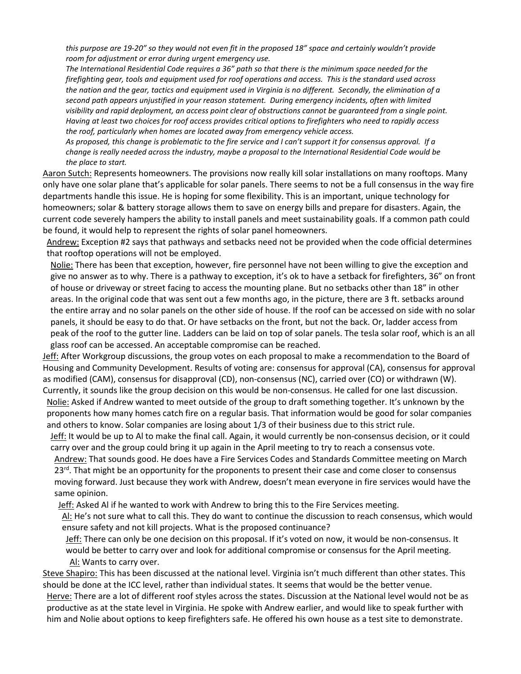*this purpose are 19-20" so they would not even fit in the proposed 18" space and certainly wouldn't provide room for adjustment or error during urgent emergency use.*

*The International Residential Code requires a 36" path so that there is the minimum space needed for the firefighting gear, tools and equipment used for roof operations and access. This is the standard used across the nation and the gear, tactics and equipment used in Virginia is no different. Secondly, the elimination of a second path appears unjustified in your reason statement. During emergency incidents, often with limited visibility and rapid deployment, an access point clear of obstructions cannot be guaranteed from a single point. Having at least two choices for roof access provides critical options to firefighters who need to rapidly access the roof, particularly when homes are located away from emergency vehicle access.*

*As proposed, this change is problematic to the fire service and I can't support it for consensus approval. If a change is really needed across the industry, maybe a proposal to the International Residential Code would be the place to start.*

Aaron Sutch: Represents homeowners. The provisions now really kill solar installations on many rooftops. Many only have one solar plane that's applicable for solar panels. There seems to not be a full consensus in the way fire departments handle this issue. He is hoping for some flexibility. This is an important, unique technology for homeowners; solar & battery storage allows them to save on energy bills and prepare for disasters. Again, the current code severely hampers the ability to install panels and meet sustainability goals. If a common path could be found, it would help to represent the rights of solar panel homeowners.

Andrew: Exception #2 says that pathways and setbacks need not be provided when the code official determines that rooftop operations will not be employed.

Nolie: There has been that exception, however, fire personnel have not been willing to give the exception and give no answer as to why. There is a pathway to exception, it's ok to have a setback for firefighters, 36" on front of house or driveway or street facing to access the mounting plane. But no setbacks other than 18" in other areas. In the original code that was sent out a few months ago, in the picture, there are 3 ft. setbacks around the entire array and no solar panels on the other side of house. If the roof can be accessed on side with no solar panels, it should be easy to do that. Or have setbacks on the front, but not the back. Or, ladder access from peak of the roof to the gutter line. Ladders can be laid on top of solar panels. The tesla solar roof, which is an all glass roof can be accessed. An acceptable compromise can be reached.

Jeff: After Workgroup discussions, the group votes on each proposal to make a recommendation to the Board of Housing and Community Development. Results of voting are: consensus for approval (CA), consensus for approval as modified (CAM), consensus for disapproval (CD), non-consensus (NC), carried over (CO) or withdrawn (W). Currently, it sounds like the group decision on this would be non-consensus. He called for one last discussion.

Nolie: Asked if Andrew wanted to meet outside of the group to draft something together. It's unknown by the proponents how many homes catch fire on a regular basis. That information would be good for solar companies and others to know. Solar companies are losing about 1/3 of their business due to this strict rule.

Jeff: It would be up to AI to make the final call. Again, it would currently be non-consensus decision, or it could carry over and the group could bring it up again in the April meeting to try to reach a consensus vote.

Andrew: That sounds good. He does have a Fire Services Codes and Standards Committee meeting on March  $23<sup>rd</sup>$ . That might be an opportunity for the proponents to present their case and come closer to consensus moving forward. Just because they work with Andrew, doesn't mean everyone in fire services would have the same opinion.

Jeff: Asked AI if he wanted to work with Andrew to bring this to the Fire Services meeting.

Al: He's not sure what to call this. They do want to continue the discussion to reach consensus, which would ensure safety and not kill projects. What is the proposed continuance?

Jeff: There can only be one decision on this proposal. If it's voted on now, it would be non-consensus. It would be better to carry over and look for additional compromise or consensus for the April meeting. Al: Wants to carry over.

Steve Shapiro: This has been discussed at the national level. Virginia isn't much different than other states. This should be done at the ICC level, rather than individual states. It seems that would be the better venue.

Herve: There are a lot of different roof styles across the states. Discussion at the National level would not be as productive as at the state level in Virginia. He spoke with Andrew earlier, and would like to speak further with him and Nolie about options to keep firefighters safe. He offered his own house as a test site to demonstrate.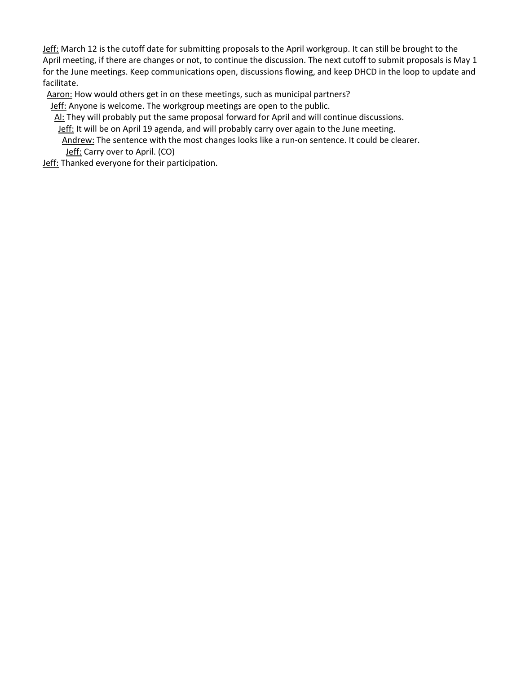Jeff: March 12 is the cutoff date for submitting proposals to the April workgroup. It can still be brought to the April meeting, if there are changes or not, to continue the discussion. The next cutoff to submit proposals is May 1 for the June meetings. Keep communications open, discussions flowing, and keep DHCD in the loop to update and facilitate.

Aaron: How would others get in on these meetings, such as municipal partners?

Jeff: Anyone is welcome. The workgroup meetings are open to the public.

Al: They will probably put the same proposal forward for April and will continue discussions.

Jeff: It will be on April 19 agenda, and will probably carry over again to the June meeting.

Andrew: The sentence with the most changes looks like a run-on sentence. It could be clearer. Jeff: Carry over to April. (CO)

**Jeff:** Thanked everyone for their participation.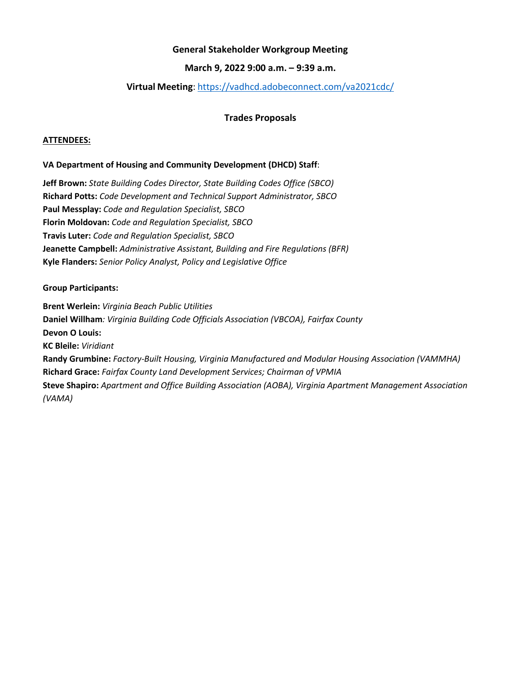### **March 9, 2022 9:00 a.m. – 9:39 a.m.**

## **Virtual Meeting**: <https://vadhcd.adobeconnect.com/va2021cdc/>

### **Trades Proposals**

#### <span id="page-17-0"></span>**ATTENDEES:**

#### **VA Department of Housing and Community Development (DHCD) Staff**:

**Jeff Brown:** *State Building Codes Director, State Building Codes Office (SBCO)* **Richard Potts:** *Code Development and Technical Support Administrator, SBCO* **Paul Messplay:** *Code and Regulation Specialist, SBCO* **Florin Moldovan:** *Code and Regulation Specialist, SBCO* **Travis Luter:** *Code and Regulation Specialist, SBCO* **Jeanette Campbell:** *Administrative Assistant, Building and Fire Regulations (BFR)* **Kyle Flanders:** *Senior Policy Analyst, Policy and Legislative Office*

#### **Group Participants:**

**Brent Werlein:** *Virginia Beach Public Utilities* **Daniel Willham***: Virginia Building Code Officials Association (VBCOA), Fairfax County* **Devon O Louis: KC Bleile:** *Viridiant* **Randy Grumbine:** *Factory-Built Housing, Virginia Manufactured and Modular Housing Association (VAMMHA)* **Richard Grace:** *Fairfax County Land Development Services; Chairman of VPMIA* **Steve Shapiro:** *Apartment and Office Building Association (AOBA), Virginia Apartment Management Association (VAMA)*